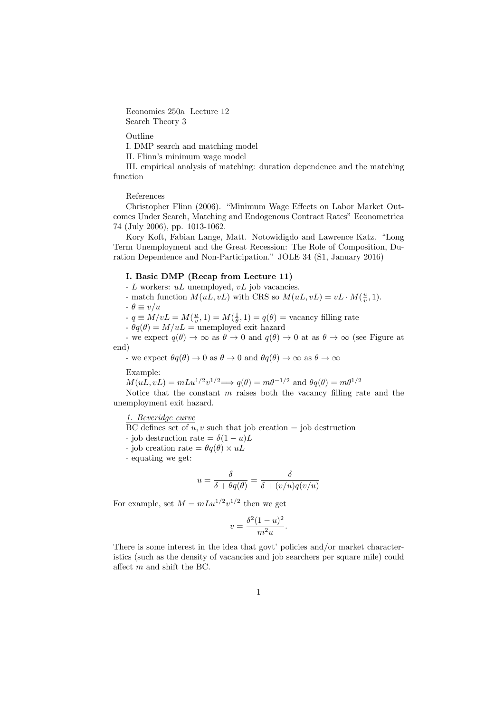Economics 250a Lecture 12 Search Theory 3

Outline

I. DMP search and matching model

II. Flinn's minimum wage model

III. empirical analysis of matching: duration dependence and the matching function

References

Christopher Flinn (2006). "Minimum Wage Effects on Labor Market Outcomes Under Search, Matching and Endogenous Contract Rates" Econometrica 74 (July 2006), pp. 1013-1062.

Kory Koft, Fabian Lange, Matt. Notowidigdo and Lawrence Katz. "Long Term Unemployment and the Great Recession: The Role of Composition, Duration Dependence and Non-Participation." JOLE 34 (S1, January 2016)

# I. Basic DMP (Recap from Lecture 11)

- L workers: uL unemployed, vL job vacancies.

- match function  $M(uL, vL)$  with CRS so  $M(uL, vL) = vL \cdot M(\frac{u}{v}, 1)$ .

 $-\theta \equiv v/u$ 

-  $q \equiv M/vL = M(\frac{u}{v}, 1) = M(\frac{1}{\theta}, 1) = q(\theta)$  = vacancy filling rate

 $-\theta q(\theta) = M/uL$  = unemployed exit hazard

- we expect  $q(\theta) \to \infty$  as  $\theta \to 0$  and  $q(\theta) \to 0$  at as  $\theta \to \infty$  (see Figure at end)

- we expect  $\theta q(\theta) \to 0$  as  $\theta \to 0$  and  $\theta q(\theta) \to \infty$  as  $\theta \to \infty$ 

Example:

 $M(uL, vL) = mLu^{1/2}v^{1/2} \Longrightarrow q(\theta) = m\theta^{-1/2}$  and  $\theta q(\theta) = m\theta^{1/2}$ 

Notice that the constant  $m$  raises both the vacancy filling rate and the unemployment exit hazard.

1. Beveridge curve

BC defines set of  $u, v$  such that job creation = job destruction

- job destruction rate =  $\delta(1-u)L$
- job creation rate  $= \theta q(\theta) \times uL$
- equating we get:

$$
u=\frac{\delta}{\delta+\theta q(\theta)}=\frac{\delta}{\delta+(v/u)q(v/u)}
$$

For example, set  $M = mLu^{1/2}v^{1/2}$  then we get

$$
v = \frac{\delta^2 (1 - u)^2}{m^2 u}.
$$

There is some interest in the idea that govt' policies and/or market characteristics (such as the density of vacancies and job searchers per square mile) could affect m and shift the BC.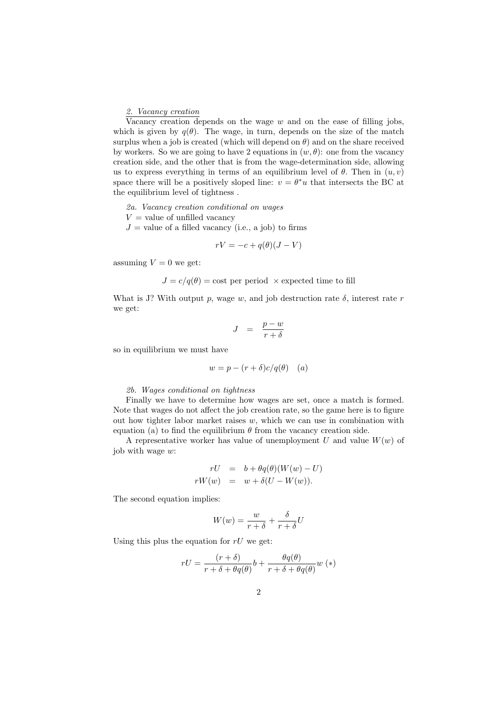2. Vacancy creation

Vacancy creation depends on the wage  $w$  and on the ease of filling jobs, which is given by  $q(\theta)$ . The wage, in turn, depends on the size of the match surplus when a job is created (which will depend on  $\theta$ ) and on the share received by workers. So we are going to have 2 equations in  $(w, \theta)$ : one from the vacancy creation side, and the other that is from the wage-determination side, allowing us to express everything in terms of an equilibrium level of  $\theta$ . Then in  $(u, v)$ space there will be a positively sloped line:  $v = \theta^* u$  that intersects the BC at the equilibrium level of tightness .

- 2a. Vacancy creation conditional on wages
- $V =$  value of unfilled vacancy
- $J =$  value of a filled vacancy (i.e., a job) to firms

$$
rV = -c + q(\theta)(J - V)
$$

assuming  $V = 0$  we get:

 $J = c/q(\theta) = \text{cost per period } \times \text{expected time to fill}$ 

What is J? With output p, wage w, and job destruction rate  $\delta$ , interest rate r we get:

$$
J = \frac{p-w}{r+\delta}
$$

so in equilibrium we must have

$$
w = p - (r + \delta)c/q(\theta) \quad (a)
$$

#### 2b. Wages conditional on tightness

Finally we have to determine how wages are set, once a match is formed. Note that wages do not affect the job creation rate, so the game here is to figure out how tighter labor market raises  $w$ , which we can use in combination with equation (a) to find the equilibrium  $\theta$  from the vacancy creation side.

A representative worker has value of unemployment U and value  $W(w)$  of job with wage  $w$ :

$$
rU = b + \theta q(\theta)(W(w) - U)
$$
  

$$
rW(w) = w + \delta(U - W(w)).
$$

The second equation implies:

$$
W(w) = \frac{w}{r+\delta} + \frac{\delta}{r+\delta}U
$$

Using this plus the equation for  $rU$  we get:

$$
rU = \frac{(r+\delta)}{r+\delta + \theta q(\theta)} b + \frac{\theta q(\theta)}{r+\delta + \theta q(\theta)} w (\ast)
$$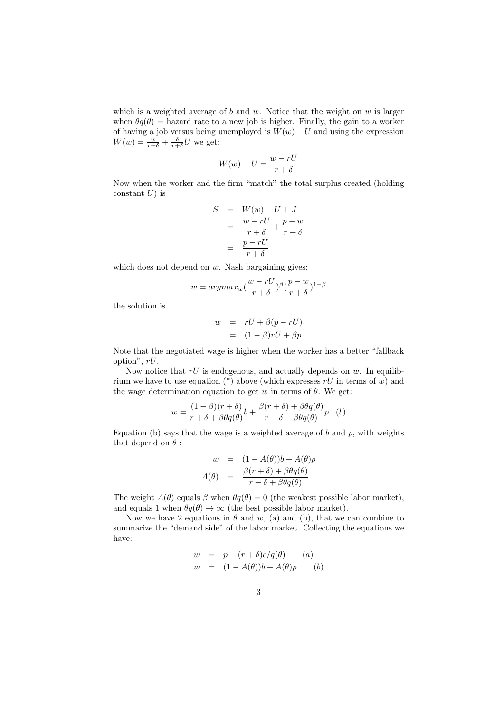which is a weighted average of  $b$  and  $w$ . Notice that the weight on  $w$  is larger when  $\theta q(\theta)$  = hazard rate to a new job is higher. Finally, the gain to a worker of having a job versus being unemployed is  $W(w) - U$  and using the expression  $W(w) = \frac{w}{r+\delta} + \frac{\delta}{r+\delta}U$  we get:

$$
W(w) - U = \frac{w - rU}{r + \delta}
$$

Now when the worker and the firm "match" the total surplus created (holding constant  $U$ ) is

$$
S = W(w) - U + J
$$
  
= 
$$
\frac{w - rU}{r + \delta} + \frac{p - w}{r + \delta}
$$
  
= 
$$
\frac{p - rU}{r + \delta}
$$

which does not depend on  $w$ . Nash bargaining gives:

$$
w = argmax_w(\frac{w - rU}{r + \delta})^{\beta} (\frac{p - w}{r + \delta})^{1 - \beta}
$$

the solution is

$$
w = rU + \beta(p - rU)
$$
  
= 
$$
(1 - \beta)rU + \beta p
$$

Note that the negotiated wage is higher when the worker has a better "fallback option", rU.

Now notice that  $rU$  is endogenous, and actually depends on w. In equilibrium we have to use equation (\*) above (which expresses  $rU$  in terms of w) and the wage determination equation to get w in terms of  $\theta$ . We get:

$$
w = \frac{(1 - \beta)(r + \delta)}{r + \delta + \beta \theta q(\theta)} b + \frac{\beta(r + \delta) + \beta \theta q(\theta)}{r + \delta + \beta \theta q(\theta)} p
$$
 (b)

Equation (b) says that the wage is a weighted average of  $b$  and  $p$ , with weights that depend on  $\theta$ :

$$
w = (1 - A(\theta))b + A(\theta)p
$$
  

$$
A(\theta) = \frac{\beta(r+\delta) + \beta\theta q(\theta)}{r+\delta + \beta\theta q(\theta)}
$$

The weight  $A(\theta)$  equals  $\beta$  when  $\theta q(\theta) = 0$  (the weakest possible labor market), and equals 1 when  $\theta q(\theta) \rightarrow \infty$  (the best possible labor market).

Now we have 2 equations in  $\theta$  and  $w$ , (a) and (b), that we can combine to summarize the "demand side" of the labor market. Collecting the equations we have:

$$
w = p - (r + \delta)c/q(\theta) \qquad (a)
$$
  

$$
w = (1 - A(\theta))b + A(\theta)p \qquad (b)
$$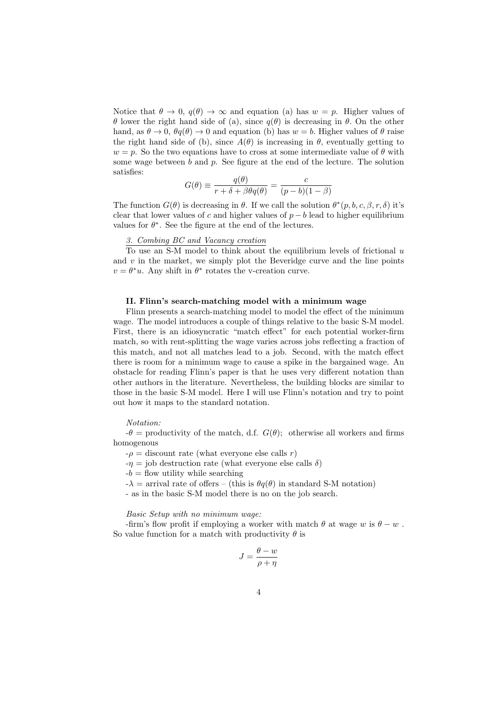Notice that  $\theta \to 0$ ,  $q(\theta) \to \infty$  and equation (a) has  $w = p$ . Higher values of θ lower the right hand side of (a), since q(θ) is decreasing in θ. On the other hand, as  $\theta \to 0$ ,  $\theta q(\theta) \to 0$  and equation (b) has  $w = b$ . Higher values of  $\theta$  raise the right hand side of (b), since  $A(\theta)$  is increasing in  $\theta$ , eventually getting to  $w = p$ . So the two equations have to cross at some intermediate value of  $\theta$  with some wage between  $b$  and  $p$ . See figure at the end of the lecture. The solution satisfies:

$$
G(\theta) \equiv \frac{q(\theta)}{r + \delta + \beta \theta q(\theta)} = \frac{c}{(p - b)(1 - \beta)}
$$

The function  $G(\theta)$  is decreasing in  $\theta$ . If we call the solution  $\theta^*(p, b, c, \beta, r, \delta)$  it's clear that lower values of c and higher values of  $p - b$  lead to higher equilibrium values for  $\theta^*$ . See the figure at the end of the lectures.

## 3. Combing BC and Vacancy creation

To use an S-M model to think about the equilibrium levels of frictional  $u$ and  $v$  in the market, we simply plot the Beveridge curve and the line points  $v = \theta^* u$ . Any shift in  $\theta^*$  rotates the v-creation curve.

### II. Flinn's search-matching model with a minimum wage

Flinn presents a search-matching model to model the effect of the minimum wage. The model introduces a couple of things relative to the basic S-M model. First, there is an idiosyncratic "match effect" for each potential worker-firm match, so with rent-splitting the wage varies across jobs reflecting a fraction of this match, and not all matches lead to a job. Second, with the match effect there is room for a minimum wage to cause a spike in the bargained wage. An obstacle for reading Flinn's paper is that he uses very different notation than other authors in the literature. Nevertheless, the building blocks are similar to those in the basic S-M model. Here I will use Flinn's notation and try to point out how it maps to the standard notation.

### Notation:

 $-\theta$  = productivity of the match, d.f.  $G(\theta)$ ; otherwise all workers and firms homogenous

 $-\rho =$  discount rate (what everyone else calls r)

 $-\eta =$  job destruction rate (what everyone else calls  $\delta$ )

 $-b =$  flow utility while searching

 $-\lambda =$  arrival rate of offers – (this is  $\theta q(\theta)$  in standard S-M notation)

- as in the basic S-M model there is no on the job search.

### Basic Setup with no minimum wage:

-firm's flow profit if employing a worker with match  $\theta$  at wage w is  $\theta - w$ . So value function for a match with productivity  $\theta$  is

$$
J = \frac{\theta - w}{\rho + \eta}
$$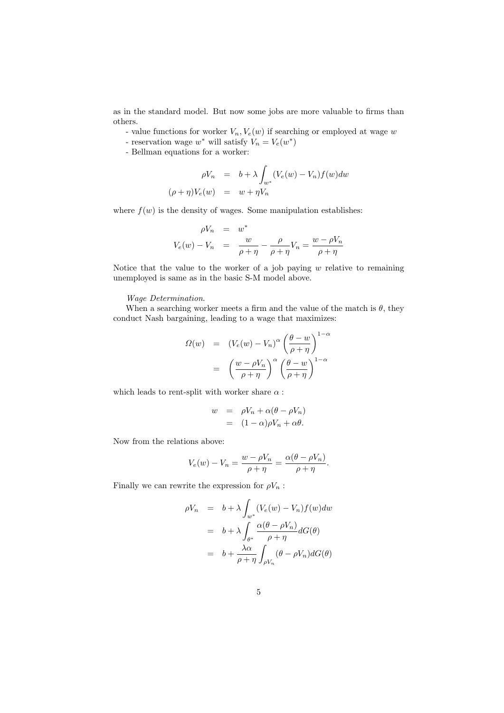as in the standard model. But now some jobs are more valuable to firms than others.

- value functions for worker  $V_n, V_e(w)$  if searching or employed at wage w
- reservation wage  $w^*$  will satisfy  $V_n = V_e(w^*)$
- Bellman equations for a worker:

$$
\rho V_n = b + \lambda \int_{w^*} (V_e(w) - V_n) f(w) dw
$$
  

$$
(\rho + \eta) V_e(w) = w + \eta V_n
$$

where  $f(w)$  is the density of wages. Some manipulation establishes:

$$
\rho V_n = w^*
$$
  

$$
V_e(w) - V_n = \frac{w}{\rho + \eta} - \frac{\rho}{\rho + \eta} V_n = \frac{w - \rho V_n}{\rho + \eta}
$$

Notice that the value to the worker of a job paying  $w$  relative to remaining unemployed is same as in the basic S-M model above.

### Wage Determination.

When a searching worker meets a firm and the value of the match is  $\theta$ , they conduct Nash bargaining, leading to a wage that maximizes:

$$
\Omega(w) = (V_e(w) - V_n)^{\alpha} \left(\frac{\theta - w}{\rho + \eta}\right)^{1 - \alpha}
$$

$$
= \left(\frac{w - \rho V_n}{\rho + \eta}\right)^{\alpha} \left(\frac{\theta - w}{\rho + \eta}\right)^{1 - \alpha}
$$

which leads to rent-split with worker share  $\alpha$  :

$$
w = \rho V_n + \alpha (\theta - \rho V_n)
$$
  
=  $(1 - \alpha)\rho V_n + \alpha \theta.$ 

Now from the relations above:

$$
V_e(w) - V_n = \frac{w - \rho V_n}{\rho + \eta} = \frac{\alpha(\theta - \rho V_n)}{\rho + \eta}.
$$

Finally we can rewrite the expression for  $\rho V_n$ :

$$
\rho V_n = b + \lambda \int_{w^*} (V_e(w) - V_n) f(w) dw
$$
  
=  $b + \lambda \int_{\theta^*} \frac{\alpha(\theta - \rho V_n)}{\rho + \eta} dG(\theta)$   
=  $b + \frac{\lambda \alpha}{\rho + \eta} \int_{\rho V_n} (\theta - \rho V_n) dG(\theta)$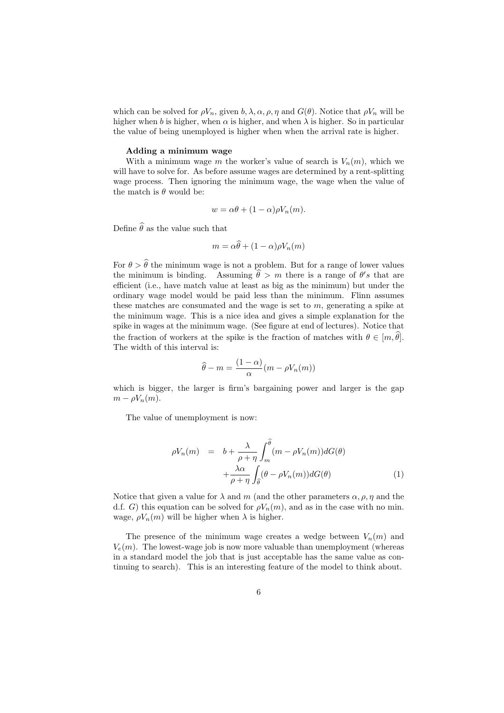which can be solved for  $\rho V_n$ , given  $b, \lambda, \alpha, \rho, \eta$  and  $G(\theta)$ . Notice that  $\rho V_n$  will be higher when b is higher, when  $\alpha$  is higher, and when  $\lambda$  is higher. So in particular the value of being unemployed is higher when when the arrival rate is higher.

### Adding a minimum wage

With a minimum wage m the worker's value of search is  $V_n(m)$ , which we will have to solve for. As before assume wages are determined by a rent-splitting wage process. Then ignoring the minimum wage, the wage when the value of the match is  $\theta$  would be:

$$
w = \alpha \theta + (1 - \alpha) \rho V_n(m).
$$

Define  $\hat{\theta}$  as the value such that

$$
m = \alpha \widehat{\theta} + (1 - \alpha) \rho V_n(m)
$$

For  $\theta > \hat{\theta}$  the minimum wage is not a problem. But for a range of lower values the minimum is binding. Assuming  $\hat{\theta} > m$  there is a range of  $\theta' s$  that are efficient (i.e., have match value at least as big as the minimum) but under the ordinary wage model would be paid less than the minimum. Flinn assumes these matches are consumated and the wage is set to  $m$ , generating a spike at the minimum wage. This is a nice idea and gives a simple explanation for the spike in wages at the minimum wage. (See figure at end of lectures). Notice that the fraction of workers at the spike is the fraction of matches with  $\theta \in [m, \theta]$ . The width of this interval is:

$$
\widehat{\theta} - m = \frac{(1 - \alpha)}{\alpha} (m - \rho V_n(m))
$$

which is bigger, the larger is firm's bargaining power and larger is the gap  $m - \rho V_n(m)$ .

The value of unemployment is now:

$$
\rho V_n(m) = b + \frac{\lambda}{\rho + \eta} \int_m^{\widehat{\theta}} (m - \rho V_n(m)) dG(\theta) + \frac{\lambda \alpha}{\rho + \eta} \int_{\widehat{\theta}} (\theta - \rho V_n(m)) dG(\theta)
$$
\n(1)

Notice that given a value for  $\lambda$  and m (and the other parameters  $\alpha$ ,  $\rho$ ,  $\eta$  and the d.f. G) this equation can be solved for  $\rho V_n(m)$ , and as in the case with no min. wage,  $\rho V_n(m)$  will be higher when  $\lambda$  is higher.

The presence of the minimum wage creates a wedge between  $V_n(m)$  and  $V_e(m)$ . The lowest-wage job is now more valuable than unemployment (whereas in a standard model the job that is just acceptable has the same value as continuing to search). This is an interesting feature of the model to think about.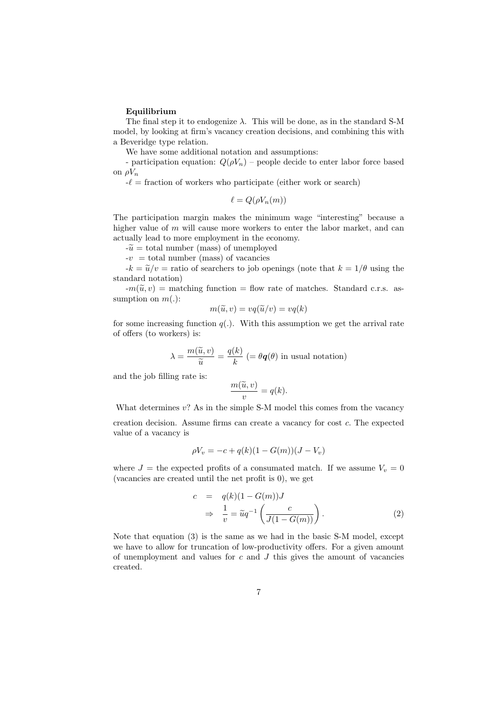### Equilibrium

The final step it to endogenize  $\lambda$ . This will be done, as in the standard S-M model, by looking at firm's vacancy creation decisions, and combining this with a Beveridge type relation.

We have some additional notation and assumptions:

- participation equation:  $Q(\rho V_n)$  – people decide to enter labor force based on  $\rho V_n$ 

 $-\ell$  = fraction of workers who participate (either work or search)

 $\ell = Q(\rho V_n(m))$ 

The participation margin makes the minimum wage "interesting" because a higher value of  $m$  will cause more workers to enter the labor market, and can actually lead to more employment in the economy.

 $-\tilde{u} =$  total number (mass) of unemployed

 $-v =$  total number (mass) of vacancies

 $-k = \tilde{u}/v =$  ratio of searchers to job openings (note that  $k = 1/\theta$  using the standard notation)

 $-m(\tilde{u}, v) =$  matching function = flow rate of matches. Standard c.r.s. assumption on  $m(.)$ :

$$
m(\widetilde{u}, v) = vq(\widetilde{u}/v) = vq(k)
$$

for some increasing function  $q(.)$ . With this assumption we get the arrival rate of offers (to workers) is:

$$
\lambda = \frac{m(\widetilde{u}, v)}{\widetilde{u}} = \frac{q(k)}{k} \ (= \theta \mathbf{q}(\theta) \text{ in usual notation})
$$

and the job filling rate is:

$$
\frac{m(\widetilde{u},v)}{v} = q(k).
$$

What determines  $v$ ? As in the simple S-M model this comes from the vacancy creation decision. Assume firms can create a vacancy for cost c. The expected value of a vacancy is

$$
\rho V_v = -c + q(k)(1 - G(m))(J - V_v)
$$

where  $J =$  the expected profits of a consumated match. If we assume  $V_v = 0$ (vacancies are created until the net profit is 0), we get

$$
c = q(k)(1 - G(m))J
$$
  
\n
$$
\Rightarrow \frac{1}{v} = \tilde{u}q^{-1}\left(\frac{c}{J(1 - G(m))}\right).
$$
 (2)

Note that equation (3) is the same as we had in the basic S-M model, except we have to allow for truncation of low-productivity offers. For a given amount of unemployment and values for  $c$  and  $J$  this gives the amount of vacancies created.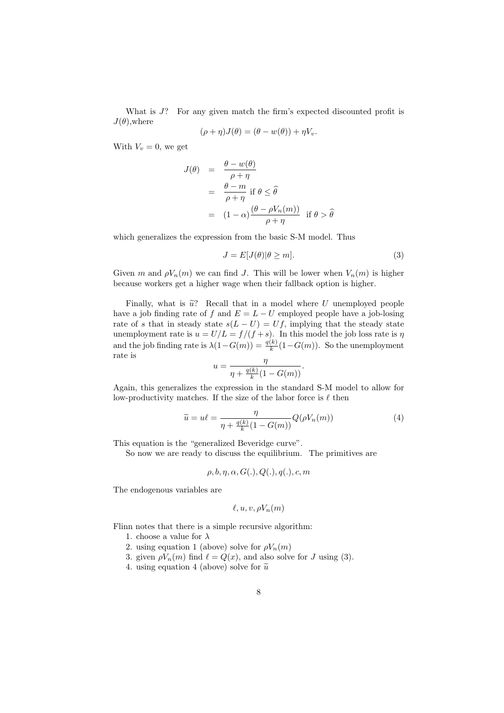What is  $J$ ? For any given match the firm's expected discounted profit is  $J(\theta)$ , where

$$
(\rho + \eta)J(\theta) = (\theta - w(\theta)) + \eta V_v.
$$

With  $V_v = 0$ , we get

$$
J(\theta) = \frac{\theta - w(\theta)}{\rho + \eta}
$$
  
=  $\frac{\theta - m}{\rho + \eta}$  if  $\theta \le \hat{\theta}$   
=  $(1 - \alpha) \frac{(\theta - \rho V_n(m))}{\rho + \eta}$  if  $\theta > \hat{\theta}$ 

which generalizes the expression from the basic S-M model. Thus

$$
J = E[J(\theta)|\theta \ge m].
$$
\n(3)

Given m and  $\rho V_n(m)$  we can find J. This will be lower when  $V_n(m)$  is higher because workers get a higher wage when their fallback option is higher.

Finally, what is  $\tilde{u}$ ? Recall that in a model where U unemployed people have a job finding rate of f and  $E = L - U$  employed people have a job-losing rate of s that in steady state  $s(L-U) = Uf$ , implying that the steady state unemployment rate is  $u = U/L = f/(f + s)$ . In this model the job loss rate is  $\eta$ and the job finding rate is  $\lambda(1-G(m)) = \frac{q(k)}{k}(1-G(m))$ . So the unemployment rate is

$$
u = \frac{\eta}{\eta + \frac{q(k)}{k}(1 - G(m))}.
$$

Again, this generalizes the expression in the standard S-M model to allow for low-productivity matches. If the size of the labor force is  $\ell$  then

$$
\widetilde{u} = u\ell = \frac{\eta}{\eta + \frac{q(k)}{k}(1 - G(m))} Q(\rho V_n(m)) \tag{4}
$$

This equation is the "generalized Beveridge curve".

So now we are ready to discuss the equilibrium. The primitives are

$$
\rho, b, \eta, \alpha, G(.), Q(.), q(.), c, m
$$

The endogenous variables are

$$
\ell, u, v, \rho V_n(m)
$$

Flinn notes that there is a simple recursive algorithm:

- 1. choose a value for  $\lambda$
- 2. using equation 1 (above) solve for  $\rho V_n(m)$
- 3. given  $\rho V_n(m)$  find  $\ell = Q(x)$ , and also solve for J using (3).
- 4. using equation 4 (above) solve for  $\tilde{u}$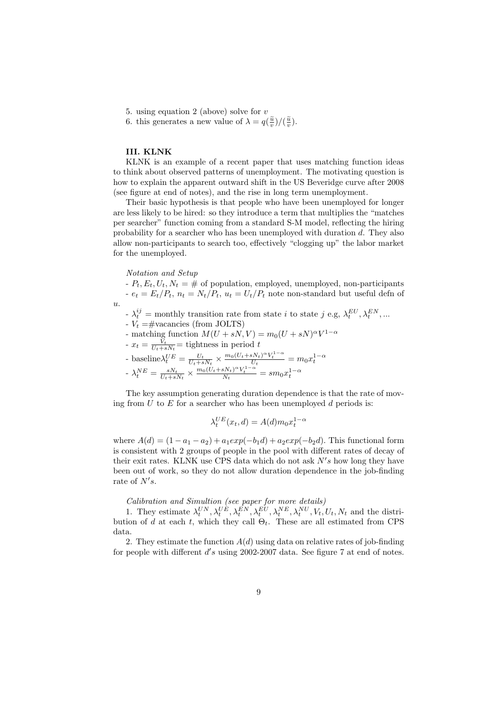- 5. using equation 2 (above) solve for v
- 6. this generates a new value of  $\lambda = q(\frac{\tilde{u}}{v})/(\frac{\tilde{u}}{v})$ .

### III. KLNK

KLNK is an example of a recent paper that uses matching function ideas to think about observed patterns of unemployment. The motivating question is how to explain the apparent outward shift in the US Beveridge curve after 2008 (see figure at end of notes), and the rise in long term unemployment.

Their basic hypothesis is that people who have been unemployed for longer are less likely to be hired: so they introduce a term that multiplies the "matches per searcher" function coming from a standard S-M model, reflecting the hiring probability for a searcher who has been unemployed with duration d. They also allow non-participants to search too, effectively "clogging up" the labor market for the unemployed.

Notation and Setup

 $\overline{u}$ .

-  $P_t$ ,  $E_t$ ,  $U_t$ ,  $N_t = #$  of population, employed, unemployed, non-participants -  $e_t = E_t/P_t$ ,  $n_t = N_t/P_t$ ,  $u_t = U_t/P_t$  note non-standard but useful defn of

- $\lambda_t^{ij}$  = monthly transition rate from state *i* to state *j* e.g,  $\lambda_t^{EU}, \lambda_t^{EN}, \dots$
- $V_t = \text{\#vacancies (from JOLTS)}$
- matching function  $M(U + sN, V) = m_0(U + sN)^{\alpha}V^{1-\alpha}$
- $x_t = \frac{V_t}{U_t + s N_t} =$  tightness in period t

- baseline
$$
\lambda_t^{UE} = \frac{U_t}{U_t + sN_t} \times \frac{m_0(U_t + sN_t)^{\alpha} V_t^{1-\alpha}}{U_t} = m_0 x_t^{1-\alpha}
$$
  
-  $\lambda_t^{NE} = \frac{sN_t}{U_t + sN_t} \times \frac{m_0(U_t + sN_t)^{\alpha} V_t^{1-\alpha}}{N_t} = sm_0 x_t^{1-\alpha}$ 

The key assumption generating duration dependence is that the rate of moving from  $U$  to  $E$  for a searcher who has been unemployed  $d$  periods is:

$$
\lambda_t^{UE}(x_t, d) = A(d)m_0 x_t^{1-\alpha}
$$

where  $A(d) = (1 - a_1 - a_2) + a_1 exp(-b_1 d) + a_2 exp(-b_2 d)$ . This functional form is consistent with 2 groups of people in the pool with different rates of decay of their exit rates. KLNK use CPS data which do not ask  $N's$  how long they have been out of work, so they do not allow duration dependence in the job-finding rate of  $N's$ .

### Calibration and Simultion (see paper for more details)

1. They estimate  $\lambda_t^{UN}, \lambda_t^{UE}, \lambda_t^{EN}, \lambda_t^{EU}, \lambda_t^{NE}, \lambda_t^{NU}, V_t, U_t, N_t$  and the distribution of d at each t, which they call  $\Theta_t$ . These are all estimated from CPS data.

2. They estimate the function  $A(d)$  using data on relative rates of job-finding for people with different  $d's$  using 2002-2007 data. See figure 7 at end of notes.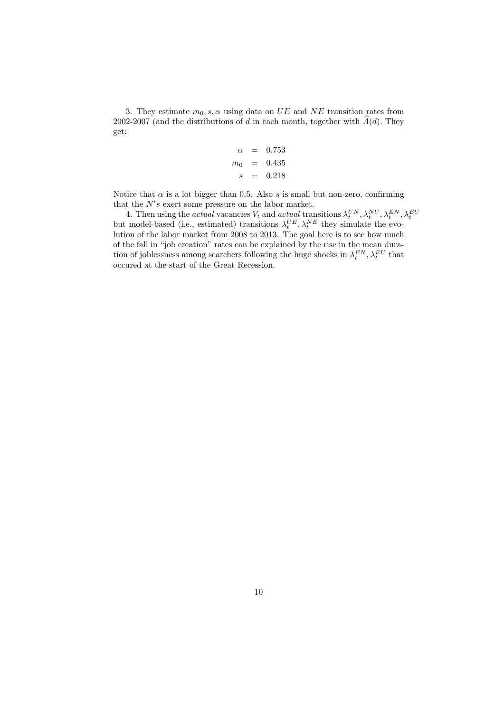3. They estimate  $m_0, s, \alpha$  using data on UE and NE transition rates from 2002-2007 (and the distributions of d in each month, together with  $\hat{A}(d)$ . They get:

$$
\begin{array}{rcl}\n\alpha & = & 0.753 \\
m_0 & = & 0.435 \\
s & = & 0.218\n\end{array}
$$

Notice that  $\alpha$  is a lot bigger than 0.5. Also s is small but non-zero, confirming that the  $N's$  exert some pressure on the labor market.

4. Then using the *actual* vacancies  $V_t$  and *actual* transitions  $\lambda_t^{UN}, \lambda_t^{NU}, \lambda_t^{EN}, \lambda_t^{EU}$  but model-based (i.e., estimated) transitions  $\lambda_t^{UE}, \lambda_t^{NE}$  they simulate the evolution of the labor market from 2008 to 2013. The goal here is to see how much of the fall in "job creation" rates can be explained by the rise in the mean duration of joblessness among searchers following the huge shocks in  $\lambda_t^{EN}, \lambda_t^{EU}$  that occured at the start of the Great Recession.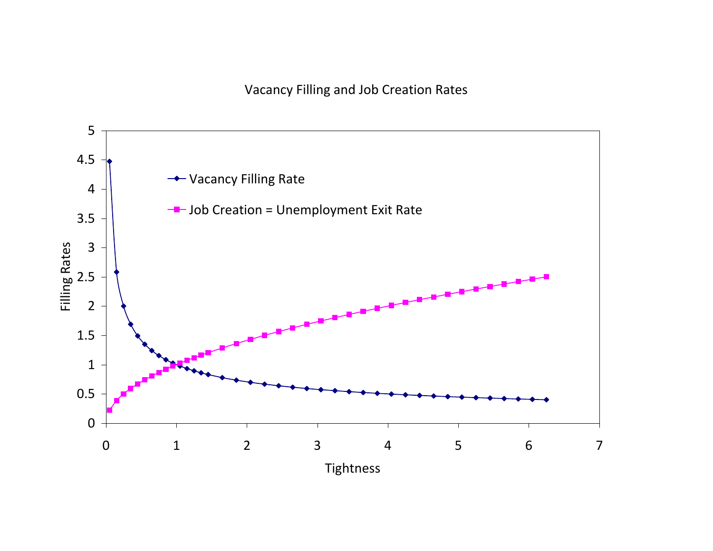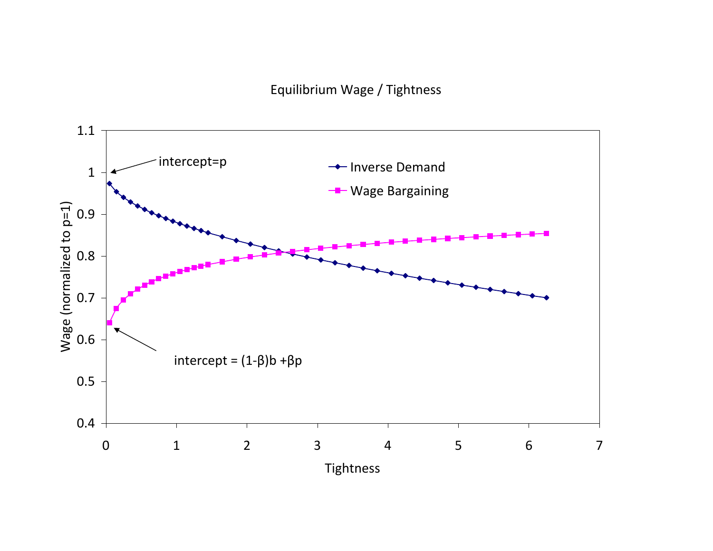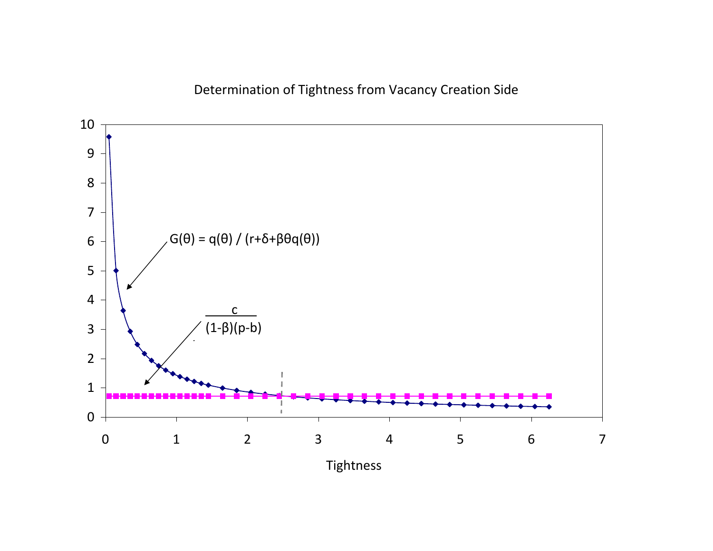Determination of Tightness from Vacancy Creation Side

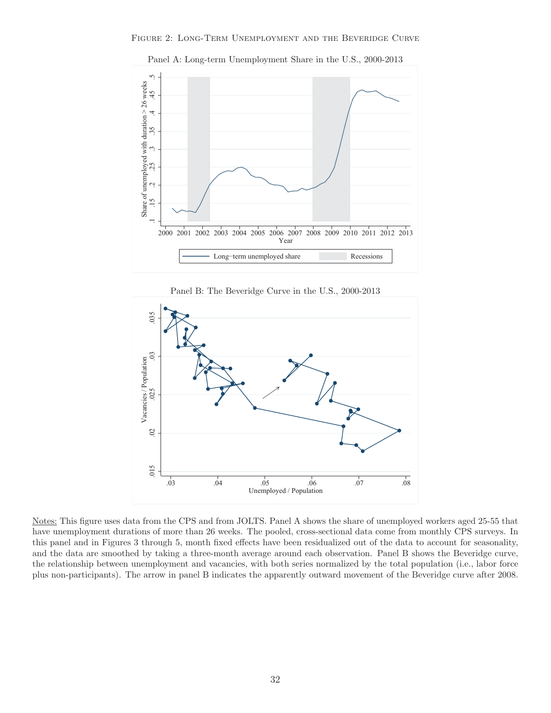

Panel A: Long-term Unemployment Share in the U.S., 2000-2013





Notes: This figure uses data from the CPS and from JOLTS. Panel A shows the share of unemployed workers aged 25-55 that have unemployment durations of more than 26 weeks. The pooled, cross-sectional data come from monthly CPS surveys. In this panel and in Figures 3 through 5, month fixed effects have been residualized out of the data to account for seasonality, and the data are smoothed by taking a three-month average around each observation. Panel B shows the Beveridge curve, the relationship between unemployment and vacancies, with both series normalized by the total population (i.e., labor force plus non-participants). The arrow in panel B indicates the apparently outward movement of the Beveridge curve after 2008.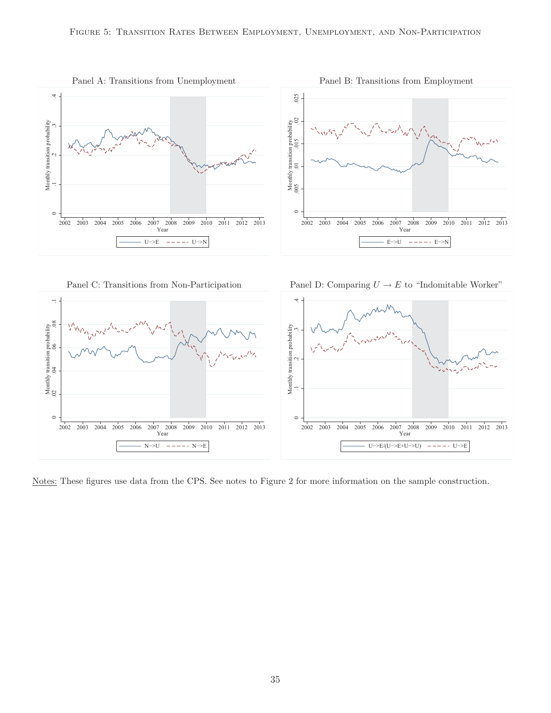





Notes: These figures use data from the CPS. See notes to Figure 2 for more information on the sample construction.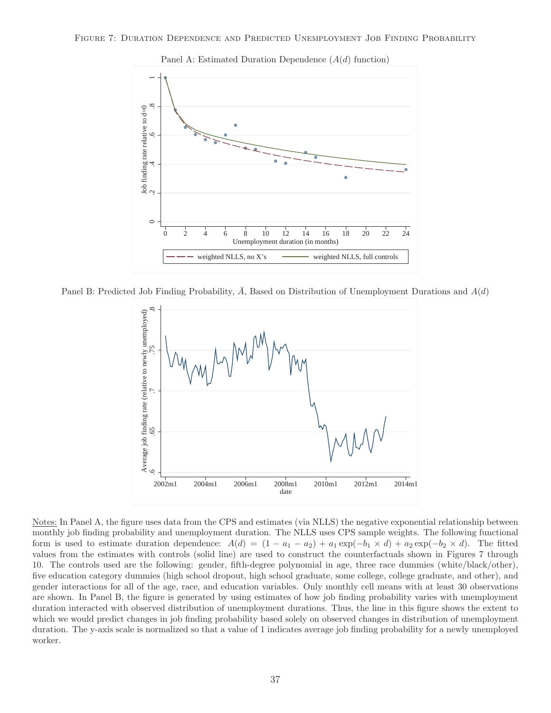



Panel A: Estimated Duration Dependence  $(A(d)$  function)

Panel B: Predicted Job Finding Probability,  $\bar{A}$ , Based on Distribution of Unemployment Durations and  $A(d)$ 



Notes: In Panel A, the figure uses data from the CPS and estimates (via NLLS) the negative exponential relationship between monthly job finding probability and unemployment duration. The NLLS uses CPS sample weights. The following functional form is used to estimate duration dependence:  $A(d) = (1 - a_1 - a_2) + a_1 \exp(-b_1 \times d) + a_2 \exp(-b_2 \times d)$ . The fitted values from the estimates with controls (solid line) are used to construct the counterfactuals shown in Figures 7 through 10. The controls used are the following: gender, fifth-degree polynomial in age, three race dummies (white/black/other), five education category dummies (high school dropout, high school graduate, some college, college graduate, and other), and gender interactions for all of the age, race, and education variables. Only monthly cell means with at least 30 observations are shown. In Panel B, the figure is generated by using estimates of how job finding probability varies with unemployment duration interacted with observed distribution of unemployment durations. Thus, the line in this figure shows the extent to which we would predict changes in job finding probability based solely on observed changes in distribution of unemployment duration. The y-axis scale is normalized so that a value of 1 indicates average job finding probability for a newly unemployed worker.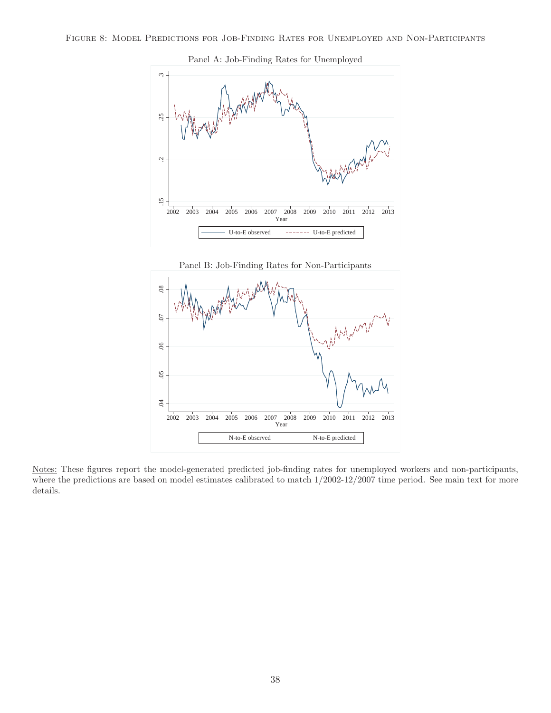



Panel B: Job-Finding Rates for Non-Participants



Notes: These figures report the model-generated predicted job-finding rates for unemployed workers and non-participants, where the predictions are based on model estimates calibrated to match 1/2002-12/2007 time period. See main text for more details.